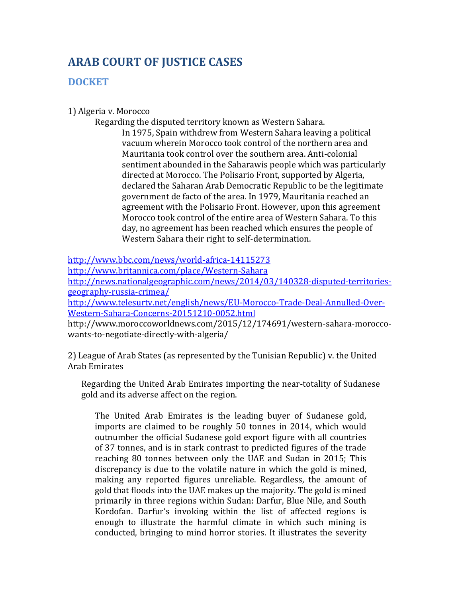## **ARAB COURT OF JUSTICE CASES**

## **DOCKET**

## 1) Algeria v. Morocco

Regarding the disputed territory known as Western Sahara.

In 1975, Spain withdrew from Western Sahara leaving a political vacuum wherein Morocco took control of the northern area and Mauritania took control over the southern area. Anti-colonial sentiment abounded in the Saharawis people which was particularly directed at Morocco. The Polisario Front, supported by Algeria, declared the Saharan Arab Democratic Republic to be the legitimate government de facto of the area. In 1979, Mauritania reached an agreement with the Polisario Front. However, upon this agreement Morocco took control of the entire area of Western Sahara. To this day, no agreement has been reached which ensures the people of Western Sahara their right to self-determination.

<http://www.bbc.com/news/world-africa-14115273>

<http://www.britannica.com/place/Western-Sahara>

[http://news.nationalgeographic.com/news/2014/03/140328-disputed-territories](http://news.nationalgeographic.com/news/2014/03/140328-disputed-territories-geography-russia-crimea/)[geography-russia-crimea/](http://news.nationalgeographic.com/news/2014/03/140328-disputed-territories-geography-russia-crimea/)

[http://www.telesurtv.net/english/news/EU-Morocco-Trade-Deal-Annulled-Over-](http://www.telesurtv.net/english/news/EU-Morocco-Trade-Deal-Annulled-Over-Western-Sahara-Concerns-20151210-0052.html)[Western-Sahara-Concerns-20151210-0052.html](http://www.telesurtv.net/english/news/EU-Morocco-Trade-Deal-Annulled-Over-Western-Sahara-Concerns-20151210-0052.html)

http://www.moroccoworldnews.com/2015/12/174691/western-sahara-moroccowants-to-negotiate-directly-with-algeria/

2) League of Arab States (as represented by the Tunisian Republic) v. the United Arab Emirates

Regarding the United Arab Emirates importing the near-totality of Sudanese gold and its adverse affect on the region.

The United Arab Emirates is the leading buyer of Sudanese gold, imports are claimed to be roughly 50 tonnes in 2014, which would outnumber the official Sudanese gold export figure with all countries of 37 tonnes, and is in stark contrast to predicted figures of the trade reaching 80 tonnes between only the UAE and Sudan in 2015; This discrepancy is due to the volatile nature in which the gold is mined, making any reported figures unreliable. Regardless, the amount of gold that floods into the UAE makes up the majority. The gold is mined primarily in three regions within Sudan: Darfur, Blue Nile, and South Kordofan. Darfur's invoking within the list of affected regions is enough to illustrate the harmful climate in which such mining is conducted, bringing to mind horror stories. It illustrates the severity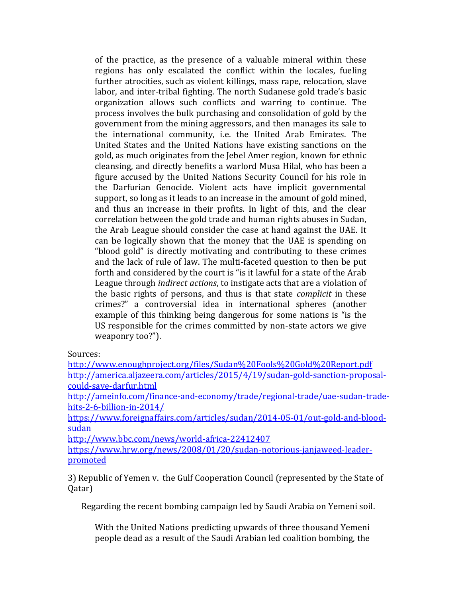of the practice, as the presence of a valuable mineral within these regions has only escalated the conflict within the locales, fueling further atrocities, such as violent killings, mass rape, relocation, slave labor, and inter-tribal fighting. The north Sudanese gold trade's basic organization allows such conflicts and warring to continue. The process involves the bulk purchasing and consolidation of gold by the government from the mining aggressors, and then manages its sale to the international community, i.e. the United Arab Emirates. The United States and the United Nations have existing sanctions on the gold, as much originates from the Jebel Amer region, known for ethnic cleansing, and directly benefits a warlord Musa Hilal, who has been a figure accused by the United Nations Security Council for his role in the Darfurian Genocide. Violent acts have implicit governmental support, so long as it leads to an increase in the amount of gold mined, and thus an increase in their profits. In light of this, and the clear correlation between the gold trade and human rights abuses in Sudan, the Arab League should consider the case at hand against the UAE. It can be logically shown that the money that the UAE is spending on "blood gold" is directly motivating and contributing to these crimes and the lack of rule of law. The multi-faceted question to then be put forth and considered by the court is "is it lawful for a state of the Arab League through *indirect actions*, to instigate acts that are a violation of the basic rights of persons, and thus is that state *complicit* in these crimes?" a controversial idea in international spheres (another example of this thinking being dangerous for some nations is "is the US responsible for the crimes committed by non-state actors we give weaponry too?").

Sources:

<http://www.enoughproject.org/files/Sudan%20Fools%20Gold%20Report.pdf> [http://america.aljazeera.com/articles/2015/4/19/sudan-gold-sanction-proposal](http://america.aljazeera.com/articles/2015/4/19/sudan-gold-sanction-proposal-could-save-darfur.html)[could-save-darfur.html](http://america.aljazeera.com/articles/2015/4/19/sudan-gold-sanction-proposal-could-save-darfur.html)

[http://ameinfo.com/finance-and-economy/trade/regional-trade/uae-sudan-trade](http://ameinfo.com/finance-and-economy/trade/regional-trade/uae-sudan-trade-hits-2-6-billion-in-2014/)[hits-2-6-billion-in-2014/](http://ameinfo.com/finance-and-economy/trade/regional-trade/uae-sudan-trade-hits-2-6-billion-in-2014/)

[https://www.foreignaffairs.com/articles/sudan/2014-05-01/out-gold-and-blood](https://www.foreignaffairs.com/articles/sudan/2014-05-01/out-gold-and-blood-sudan)[sudan](https://www.foreignaffairs.com/articles/sudan/2014-05-01/out-gold-and-blood-sudan)

<http://www.bbc.com/news/world-africa-22412407>

[https://www.hrw.org/news/2008/01/20/sudan-notorious-janjaweed-leader](https://www.hrw.org/news/2008/01/20/sudan-notorious-janjaweed-leader-promoted)[promoted](https://www.hrw.org/news/2008/01/20/sudan-notorious-janjaweed-leader-promoted)

3) Republic of Yemen v. the Gulf Cooperation Council (represented by the State of Qatar)

Regarding the recent bombing campaign led by Saudi Arabia on Yemeni soil.

With the United Nations predicting upwards of three thousand Yemeni people dead as a result of the Saudi Arabian led coalition bombing, the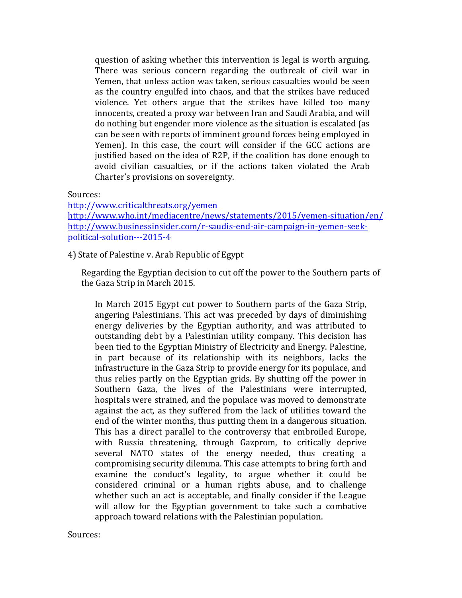question of asking whether this intervention is legal is worth arguing. There was serious concern regarding the outbreak of civil war in Yemen, that unless action was taken, serious casualties would be seen as the country engulfed into chaos, and that the strikes have reduced violence. Yet others argue that the strikes have killed too many innocents, created a proxy war between Iran and Saudi Arabia, and will do nothing but engender more violence as the situation is escalated (as can be seen with reports of imminent ground forces being employed in Yemen). In this case, the court will consider if the GCC actions are justified based on the idea of R2P, if the coalition has done enough to avoid civilian casualties, or if the actions taken violated the Arab Charter's provisions on sovereignty.**.**

Sources:

<http://www.criticalthreats.org/yemen> <http://www.who.int/mediacentre/news/statements/2015/yemen-situation/en/> [http://www.businessinsider.com/r-saudis-end-air-campaign-in-yemen-seek](http://www.businessinsider.com/r-saudis-end-air-campaign-in-yemen-seek-political-solution---2015-4)[political-solution---2015-4](http://www.businessinsider.com/r-saudis-end-air-campaign-in-yemen-seek-political-solution---2015-4)

4) State of Palestine v. Arab Republic of Egypt

Regarding the Egyptian decision to cut off the power to the Southern parts of the Gaza Strip in March 2015.

In March 2015 Egypt cut power to Southern parts of the Gaza Strip, angering Palestinians. This act was preceded by days of diminishing energy deliveries by the Egyptian authority, and was attributed to outstanding debt by a Palestinian utility company. This decision has been tied to the Egyptian Ministry of Electricity and Energy. Palestine, in part because of its relationship with its neighbors, lacks the infrastructure in the Gaza Strip to provide energy for its populace, and thus relies partly on the Egyptian grids. By shutting off the power in Southern Gaza, the lives of the Palestinians were interrupted, hospitals were strained, and the populace was moved to demonstrate against the act, as they suffered from the lack of utilities toward the end of the winter months, thus putting them in a dangerous situation. This has a direct parallel to the controversy that embroiled Europe, with Russia threatening, through Gazprom, to critically deprive several NATO states of the energy needed, thus creating a compromising security dilemma. This case attempts to bring forth and examine the conduct's legality, to argue whether it could be considered criminal or a human rights abuse, and to challenge whether such an act is acceptable, and finally consider if the League will allow for the Egyptian government to take such a combative approach toward relations with the Palestinian population.

Sources: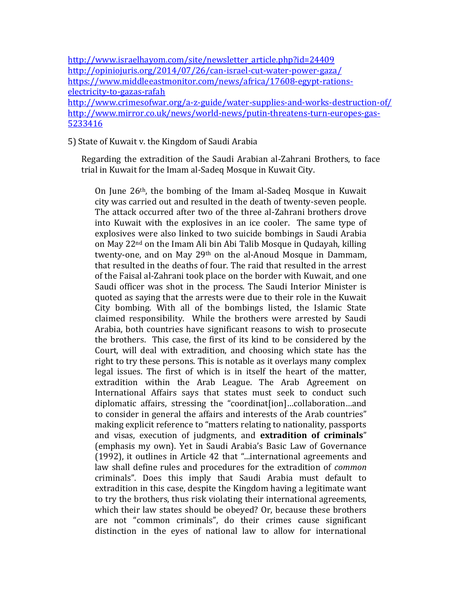## 5) State of Kuwait v. the Kingdom of Saudi Arabia

Regarding the extradition of the Saudi Arabian al-Zahrani Brothers, to face trial in Kuwait for the Imam al-Sadeq Mosque in Kuwait City.

On June 26th, the bombing of the Imam al-Sadeq Mosque in Kuwait city was carried out and resulted in the death of twenty-seven people. The attack occurred after two of the three al-Zahrani brothers drove into Kuwait with the explosives in an ice cooler. The same type of explosives were also linked to two suicide bombings in Saudi Arabia on May 22nd on the Imam Ali bin Abi Talib Mosque in Qudayah, killing twenty-one, and on May 29<sup>th</sup> on the al-Anoud Mosque in Dammam, that resulted in the deaths of four. The raid that resulted in the arrest of the Faisal al-Zahrani took place on the border with Kuwait, and one Saudi officer was shot in the process. The Saudi Interior Minister is quoted as saying that the arrests were due to their role in the Kuwait City bombing. With all of the bombings listed, the Islamic State claimed responsibility. While the brothers were arrested by Saudi Arabia, both countries have significant reasons to wish to prosecute the brothers. This case, the first of its kind to be considered by the Court, will deal with extradition, and choosing which state has the right to try these persons. This is notable as it overlays many complex legal issues. The first of which is in itself the heart of the matter, extradition within the Arab League. The Arab Agreement on International Affairs says that states must seek to conduct such diplomatic affairs, stressing the "coordinat[ion]…collaboration…and to consider in general the affairs and interests of the Arab countries" making explicit reference to "matters relating to nationality, passports and visas, execution of judgments, and **extradition of criminals**" (emphasis my own). Yet in Saudi Arabia's Basic Law of Governance (1992), it outlines in Article 42 that "...international agreements and law shall define rules and procedures for the extradition of *common* criminals". Does this imply that Saudi Arabia must default to extradition in this case, despite the Kingdom having a legitimate want to try the brothers, thus risk violating their international agreements, which their law states should be obeyed? Or, because these brothers are not "common criminals", do their crimes cause significant distinction in the eyes of national law to allow for international